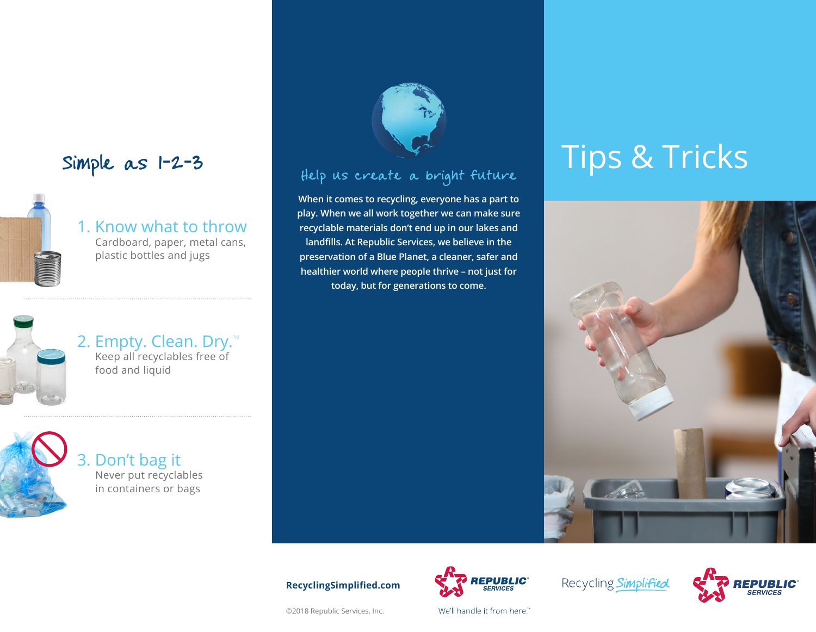## Simple as 1-2-3



1. Know what to throw Cardboard, paper, metal cans, plastic bottles and jugs



2. Empty. Clean. Dry. $M$ Keep all recyclables free of food and liquid



3. Don't bag it Never put recyclables in containers or bags



### Help us create a bright future

**When it comes to recycling, everyone has a part to play. When we all work together we can make sure recyclable materials don't end up in our lakes and landfills. At Republic Services, we believe in the preservation of a Blue Planet, a cleaner, safer and healthier world where people thrive – not just for today, but for generations to come.**

# Tips & Tricks



#### **RecyclingSimplified.com**

©2018 Republic Services, Inc.



We'll handle it from here."